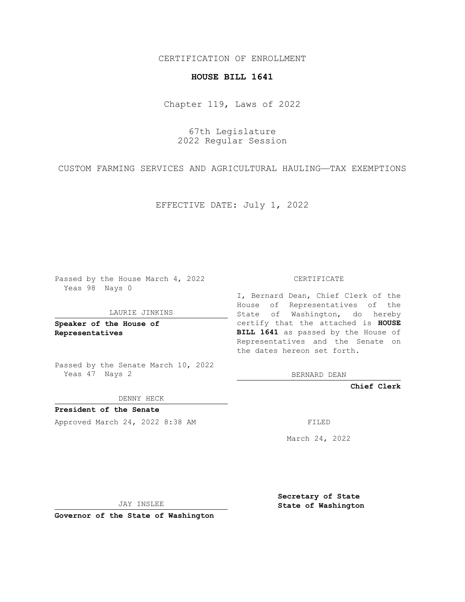CERTIFICATION OF ENROLLMENT

## **HOUSE BILL 1641**

Chapter 119, Laws of 2022

67th Legislature 2022 Regular Session

CUSTOM FARMING SERVICES AND AGRICULTURAL HAULING—TAX EXEMPTIONS

EFFECTIVE DATE: July 1, 2022

Passed by the House March 4, 2022 Yeas 98 Nays 0

## LAURIE JINKINS

**Speaker of the House of Representatives**

Passed by the Senate March 10, 2022 Yeas 47 Nays 2

DENNY HECK

**President of the Senate** Approved March 24, 2022 8:38 AM FILED

CERTIFICATE

I, Bernard Dean, Chief Clerk of the House of Representatives of the State of Washington, do hereby certify that the attached is **HOUSE BILL 1641** as passed by the House of Representatives and the Senate on the dates hereon set forth.

BERNARD DEAN

**Chief Clerk**

March 24, 2022

JAY INSLEE

**Governor of the State of Washington**

**Secretary of State State of Washington**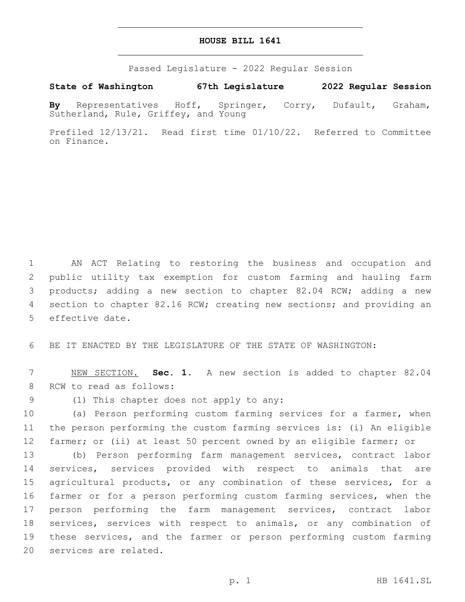## **HOUSE BILL 1641**

Passed Legislature - 2022 Regular Session

**State of Washington 67th Legislature 2022 Regular Session**

**By** Representatives Hoff, Springer, Corry, Dufault, Graham, Sutherland, Rule, Griffey, and Young

Prefiled 12/13/21. Read first time 01/10/22. Referred to Committee on Finance.

 AN ACT Relating to restoring the business and occupation and public utility tax exemption for custom farming and hauling farm products; adding a new section to chapter 82.04 RCW; adding a new section to chapter 82.16 RCW; creating new sections; and providing an 5 effective date.

6 BE IT ENACTED BY THE LEGISLATURE OF THE STATE OF WASHINGTON:

7 NEW SECTION. **Sec. 1.** A new section is added to chapter 82.04 8 RCW to read as follows:

(1) This chapter does not apply to any:9

10 (a) Person performing custom farming services for a farmer, when 11 the person performing the custom farming services is: (i) An eligible 12 farmer; or (ii) at least 50 percent owned by an eligible farmer; or

 (b) Person performing farm management services, contract labor services, services provided with respect to animals that are agricultural products, or any combination of these services, for a farmer or for a person performing custom farming services, when the person performing the farm management services, contract labor services, services with respect to animals, or any combination of these services, and the farmer or person performing custom farming 20 services are related.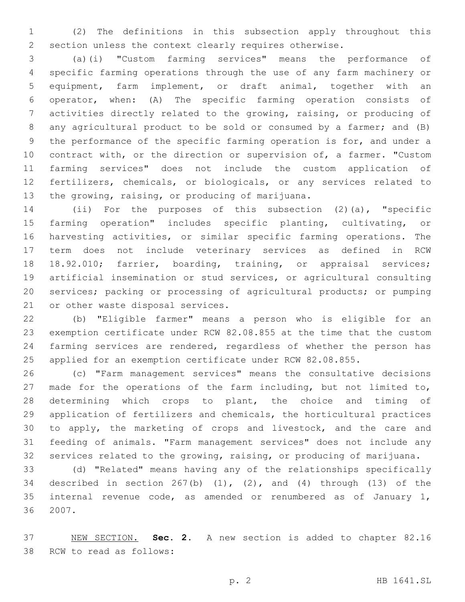(2) The definitions in this subsection apply throughout this section unless the context clearly requires otherwise.

 (a)(i) "Custom farming services" means the performance of specific farming operations through the use of any farm machinery or equipment, farm implement, or draft animal, together with an operator, when: (A) The specific farming operation consists of activities directly related to the growing, raising, or producing of any agricultural product to be sold or consumed by a farmer; and (B) the performance of the specific farming operation is for, and under a contract with, or the direction or supervision of, a farmer. "Custom farming services" does not include the custom application of fertilizers, chemicals, or biologicals, or any services related to 13 the growing, raising, or producing of marijuana.

 (ii) For the purposes of this subsection (2)(a), "specific farming operation" includes specific planting, cultivating, or harvesting activities, or similar specific farming operations. The term does not include veterinary services as defined in RCW 18.92.010; farrier, boarding, training, or appraisal services; artificial insemination or stud services, or agricultural consulting services; packing or processing of agricultural products; or pumping 21 or other waste disposal services.

 (b) "Eligible farmer" means a person who is eligible for an exemption certificate under RCW 82.08.855 at the time that the custom farming services are rendered, regardless of whether the person has applied for an exemption certificate under RCW 82.08.855.

 (c) "Farm management services" means the consultative decisions made for the operations of the farm including, but not limited to, determining which crops to plant, the choice and timing of application of fertilizers and chemicals, the horticultural practices to apply, the marketing of crops and livestock, and the care and feeding of animals. "Farm management services" does not include any services related to the growing, raising, or producing of marijuana.

 (d) "Related" means having any of the relationships specifically 34 described in section  $267(b)$  (1), (2), and (4) through (13) of the internal revenue code, as amended or renumbered as of January 1, 36 2007.

 NEW SECTION. **Sec. 2.** A new section is added to chapter 82.16 38 RCW to read as follows: